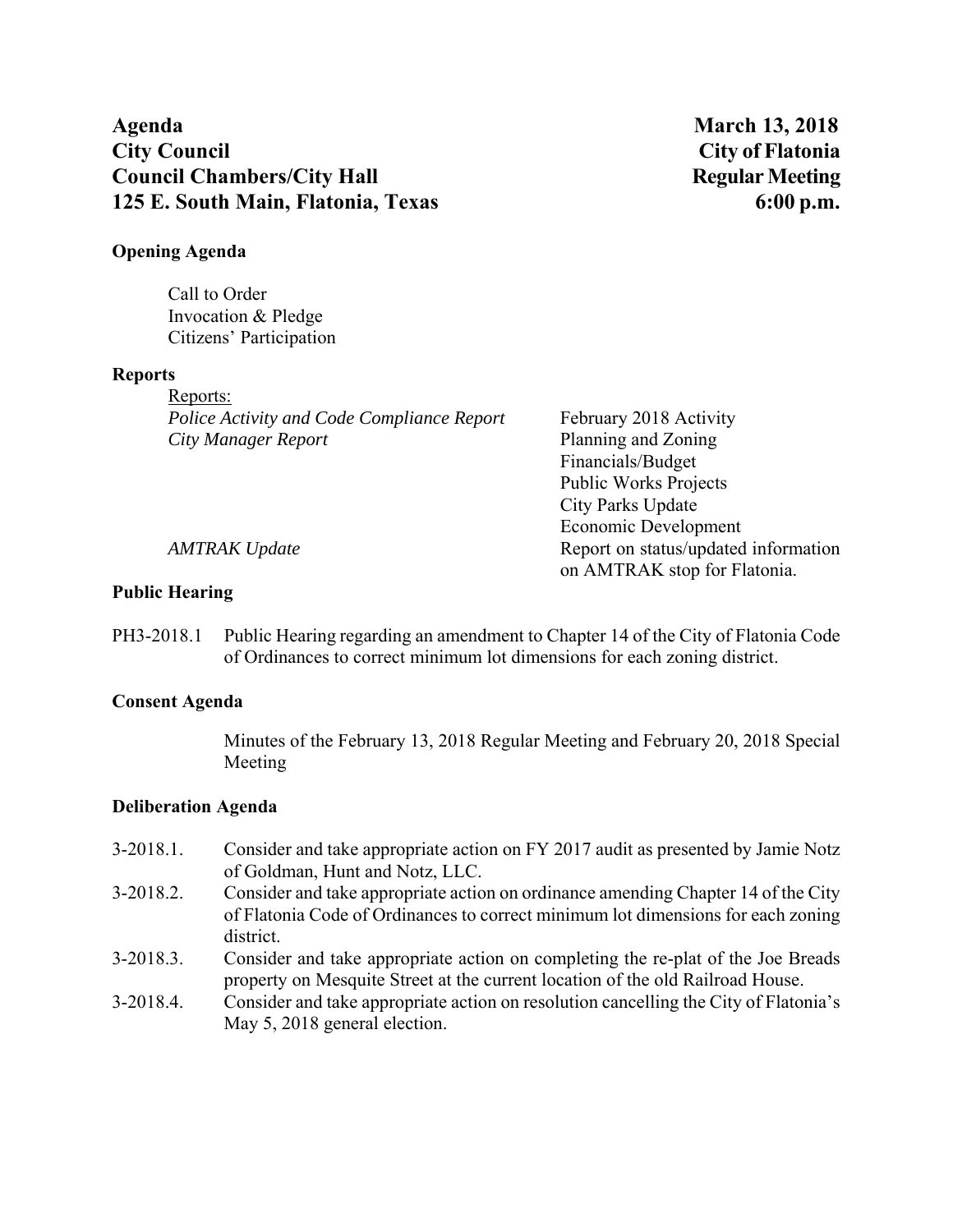# **Agenda March 13, 2018 City Council City of Flatonia Council Chambers/City Hall Regular Meeting Regular Meeting 125 E. South Main, Flatonia, Texas 6:00 p.m.**

# **Opening Agenda**

Call to Order Invocation & Pledge Citizens' Participation

#### **Reports**

Reports: *Police Activity and Code Compliance Report* February 2018 Activity *City Manager Report* Planning and Zoning

Financials/Budget Public Works Projects City Parks Update Economic Development *AMTRAK Update* **Report on status/updated information** on AMTRAK stop for Flatonia.

# **Public Hearing**

PH3-2018.1 Public Hearing regarding an amendment to Chapter 14 of the City of Flatonia Code of Ordinances to correct minimum lot dimensions for each zoning district.

# **Consent Agenda**

Minutes of the February 13, 2018 Regular Meeting and February 20, 2018 Special Meeting

# **Deliberation Agenda**

- 3-2018.1. Consider and take appropriate action on FY 2017 audit as presented by Jamie Notz of Goldman, Hunt and Notz, LLC.
- 3-2018.2. Consider and take appropriate action on ordinance amending Chapter 14 of the City of Flatonia Code of Ordinances to correct minimum lot dimensions for each zoning district.
- 3-2018.3. Consider and take appropriate action on completing the re-plat of the Joe Breads property on Mesquite Street at the current location of the old Railroad House.
- 3-2018.4. Consider and take appropriate action on resolution cancelling the City of Flatonia's May 5, 2018 general election.